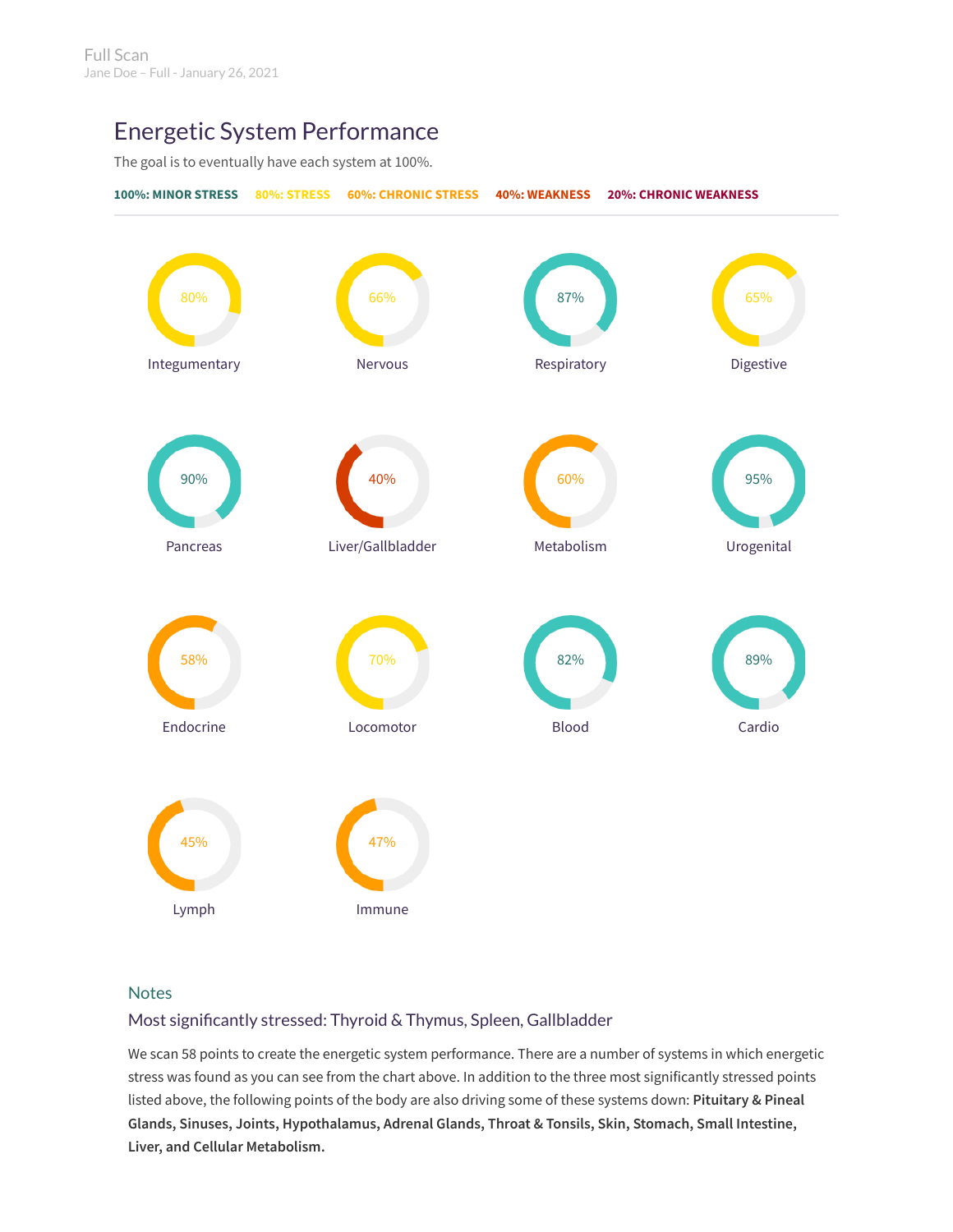# Energetic System Performance

The goal is to eventually have each system at 100%.



# **Notes**

# Most significantly stressed: Thyroid & Thymus, Spleen, Gallbladder

We scan 58 points to create the energetic system performance. There are a number of systems in which energetic stress was found as you can see from the chart above. In addition to the three most significantly stressed points listed above, the following points of the body are also driving some of these systems down: **Pituitary & Pineal Glands, Sinuses, Joints, Hypothalamus, Adrenal Glands, Throat & Tonsils, Skin, Stomach, Small Intestine, Liver, and Cellular Metabolism.**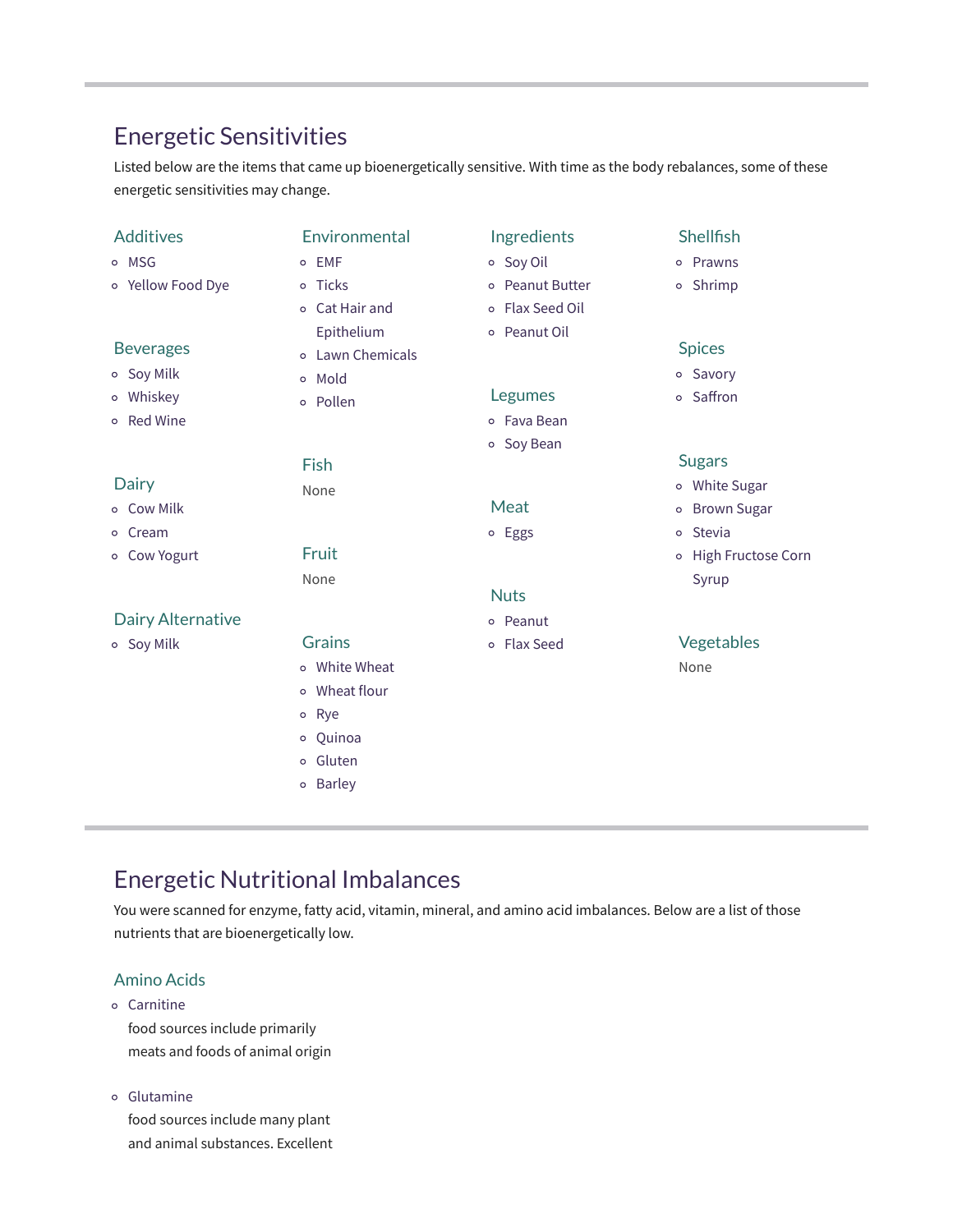# Energetic Sensitivities

Listed below are the items that came up bioenergetically sensitive. With time as the body rebalances, some of these energetic sensitivities may change.

| Additives         | Environmental            | Ingredients     | Shellfish            |
|-------------------|--------------------------|-----------------|----------------------|
| o MSG             | o EMF                    | o Soy Oil       | o Prawns             |
| o Yellow Food Dye | o Ticks                  | o Peanut Butter | o Shrimp             |
|                   | Cat Hair and<br>$\circ$  | o Flax Seed Oil |                      |
|                   | Epithelium               | o Peanut Oil    |                      |
| <b>Beverages</b>  | o Lawn Chemicals         |                 | <b>Spices</b>        |
| o Soy Milk        | Mold<br>$\circ$          |                 | o Savory             |
| o Whiskey         | o Pollen                 | Legumes         | o Saffron            |
| o Red Wine        |                          | o Fava Bean     |                      |
|                   |                          | o Soy Bean      |                      |
|                   | Fish                     |                 | <b>Sugars</b>        |
| Dairy             | None                     |                 | o White Sugar        |
| o Cow Milk        |                          | Meat            | o Brown Sugar        |
| o Cream           |                          | o Eggs          | o Stevia             |
| o Cow Yogurt      | Fruit                    |                 | o High Fructose Corn |
|                   | None                     |                 | Syrup                |
|                   |                          | <b>Nuts</b>     |                      |
| Dairy Alternative |                          | o Peanut        |                      |
| o Soy Milk        | <b>Grains</b>            | o Flax Seed     | Vegetables           |
|                   | o White Wheat            |                 | None                 |
|                   | o Wheat flour            |                 |                      |
|                   | Rye<br>$\circ$           |                 |                      |
|                   | o Quinoa                 |                 |                      |
|                   | Gluten<br>$\circ$        |                 |                      |
|                   | <b>Barley</b><br>$\circ$ |                 |                      |
|                   |                          |                 |                      |

# Energetic Nutritional Imbalances

You were scanned for enzyme, fatty acid, vitamin, mineral, and amino acid imbalances. Below are a list of those nutrients that are bioenergetically low.

# Amino Acids

- Carnitine food sources include primarily meats and foods of animal origin
- Glutamine

food sources include many plant and animal substances. Excellent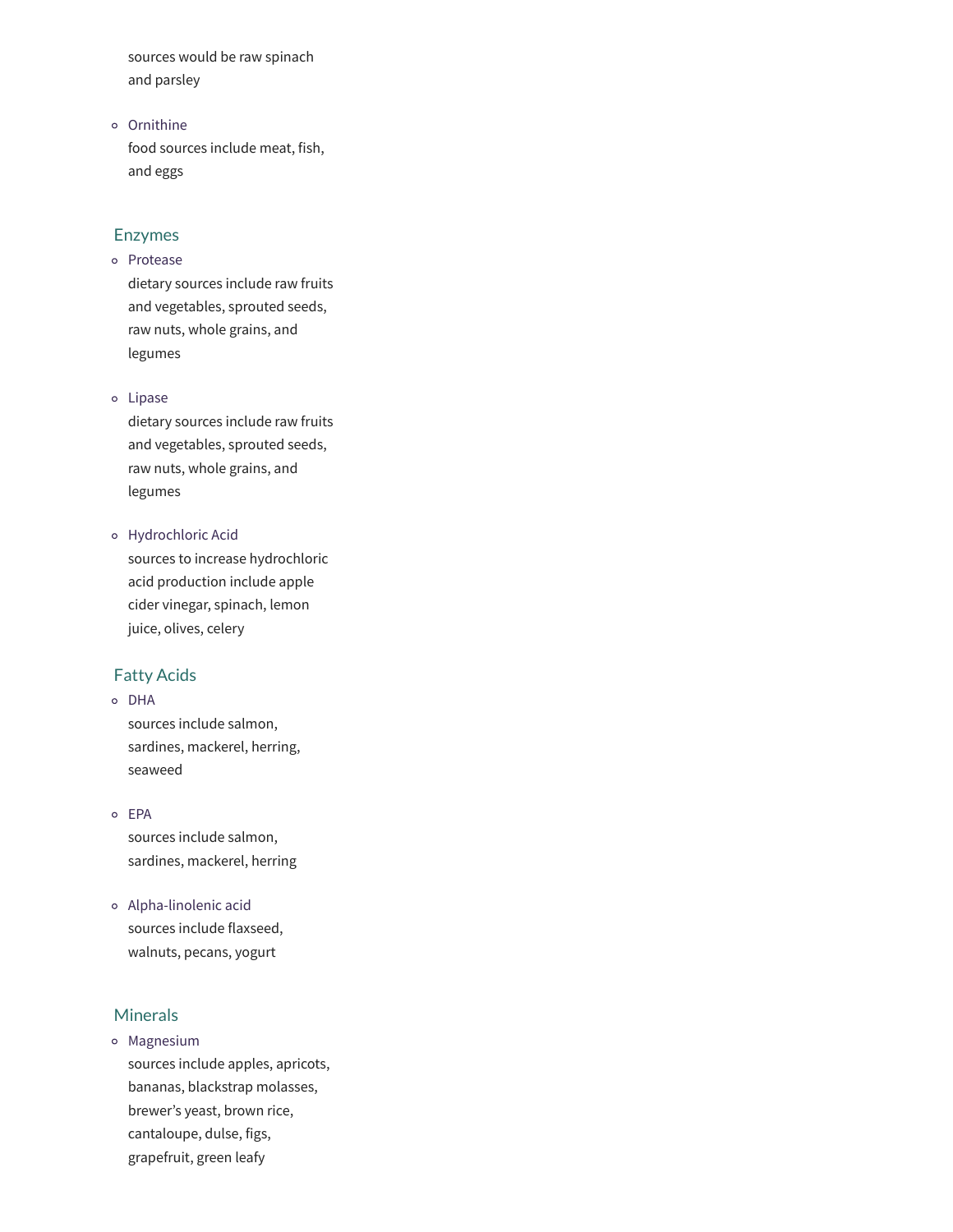sources would be raw spinach and parsley

Ornithine food sources include meat, fish, and eggs

#### Enzymes

# Protease

dietary sources include raw fruits and vegetables, sprouted seeds, raw nuts, whole grains, and legumes

Lipase

dietary sources include raw fruits and vegetables, sprouted seeds, raw nuts, whole grains, and legumes

Hydrochloric Acid sources to increase hydrochloric acid production include apple cider vinegar, spinach, lemon juice, olives, celery

# Fatty Acids

### o DHA

sources include salmon, sardines, mackerel, herring, seaweed

- EPA sources include salmon, sardines, mackerel, herring
- Alpha-linolenic acid sources include flaxseed, walnuts, pecans, yogurt

# Minerals

Magnesium sources include apples, apricots, bananas, blackstrap molasses, brewer's yeast, brown rice, cantaloupe, dulse, figs, grapefruit, green leafy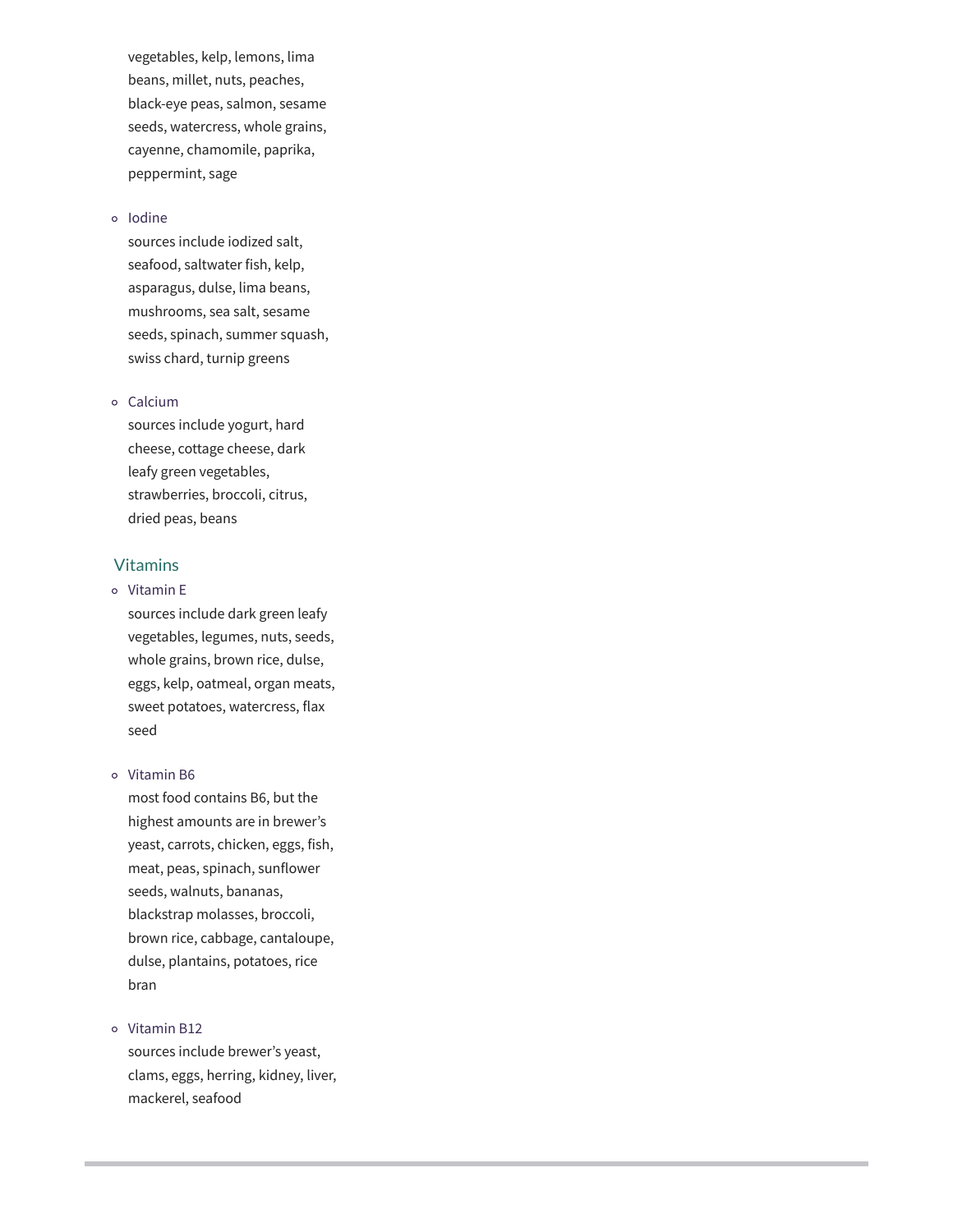vegetables, kelp, lemons, lima beans, millet, nuts, peaches, black-eye peas, salmon, sesame seeds, watercress, whole grains, cayenne, chamomile, paprika, peppermint, sage

#### o Iodine

sources include iodized salt, seafood, saltwater fish, kelp, asparagus, dulse, lima beans, mushrooms, sea salt, sesame seeds, spinach, summer squash, swiss chard, turnip greens

#### Calcium

sources include yogurt, hard cheese, cottage cheese, dark leafy green vegetables, strawberries, broccoli, citrus, dried peas, beans

# Vitamins

### Vitamin E

sources include dark green leafy vegetables, legumes, nuts, seeds, whole grains, brown rice, dulse, eggs, kelp, oatmeal, organ meats, sweet potatoes, watercress, flax seed

#### o Vitamin B6

most food contains B6, but the highest amounts are in brewer's yeast, carrots, chicken, eggs, fish, meat, peas, spinach, sunflower seeds, walnuts, bananas, blackstrap molasses, broccoli, brown rice, cabbage, cantaloupe, dulse, plantains, potatoes, rice bran

#### o Vitamin B12

sources include brewer's yeast, clams, eggs, herring, kidney, liver, mackerel, seafood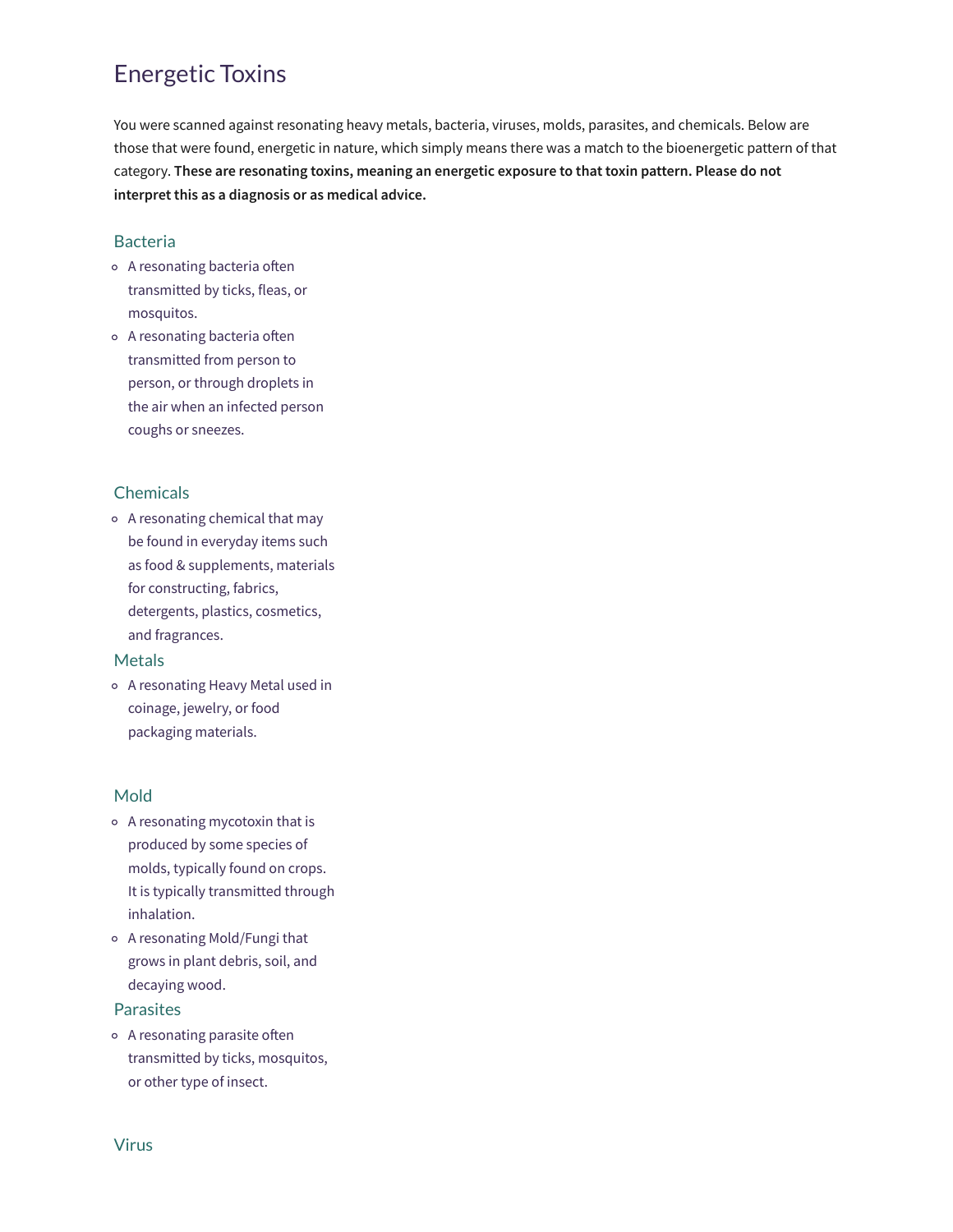# Energetic Toxins

You were scanned against resonating heavy metals, bacteria, viruses, molds, parasites, and chemicals. Below are those that were found, energetic in nature, which simply means there was a match to the bioenergetic pattern of that category. **These are resonating toxins, meaning an energetic exposure to that toxin pattern. Please do not interpret this as a diagnosis or as medical advice.**

#### Bacteria

- o A resonating bacteria often transmitted by ticks, fleas, or mosquitos.
- o A resonating bacteria often transmitted from person to person, or through droplets in the air when an infected person coughs or sneezes.

# Chemicals

A resonating chemical that may be found in everyday items such as food & supplements, materials for constructing, fabrics, detergents, plastics, cosmetics, and fragrances.

#### Metals

A resonating Heavy Metal used in coinage, jewelry, or food packaging materials.

#### Mold

- A resonating mycotoxin that is produced by some species of molds, typically found on crops. It is typically transmitted through inhalation.
- A resonating Mold/Fungi that grows in plant debris, soil, and decaying wood.

#### **Parasites**

 $\circ$  A resonating parasite often transmitted by ticks, mosquitos, or other type of insect.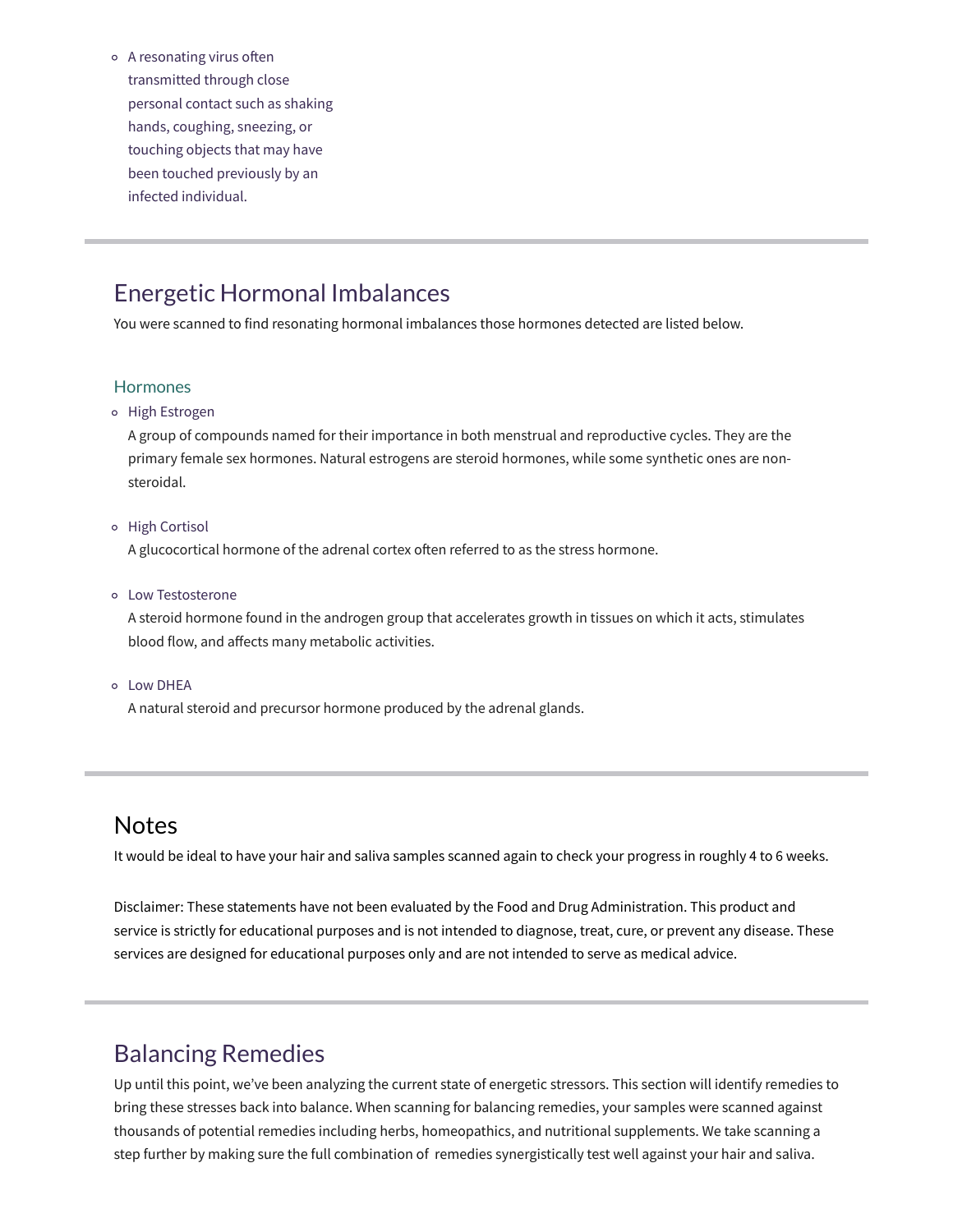$\circ$  A resonating virus often transmitted through close personal contact such as shaking hands, coughing, sneezing, or touching objects that may have been touched previously by an infected individual.

# Energetic Hormonal Imbalances

You were scanned to find resonating hormonal imbalances those hormones detected are listed below.

#### **Hormones**

High Estrogen

A group of compounds named for their importance in both menstrual and reproductive cycles. They are the primary female sex hormones. Natural estrogens are steroid hormones, while some synthetic ones are nonsteroidal.

o High Cortisol

A glucocortical hormone of the adrenal cortex often referred to as the stress hormone.

Low Testosterone

A steroid hormone found in the androgen group that accelerates growth in tissues on which it acts, stimulates blood flow, and affects many metabolic activities.

Low DHEA

A natural steroid and precursor hormone produced by the adrenal glands.

# **Notes**

It would be ideal to have your hair and saliva samples scanned again to check your progress in roughly 4 to 6 weeks.

Disclaimer: These statements have not been evaluated by the Food and Drug Administration. This product and service is strictly for educational purposes and is not intended to diagnose, treat, cure, or prevent any disease. These services are designed for educational purposes only and are not intended to serve as medical advice.

# Balancing Remedies

Up until this point, we've been analyzing the current state of energetic stressors. This section will identify remedies to bring these stresses back into balance. When scanning for balancing remedies, your samples were scanned against thousands of potential remedies including herbs, homeopathics, and nutritional supplements. We take scanning a step further by making sure the full combination of remedies synergistically test well against your hair and saliva.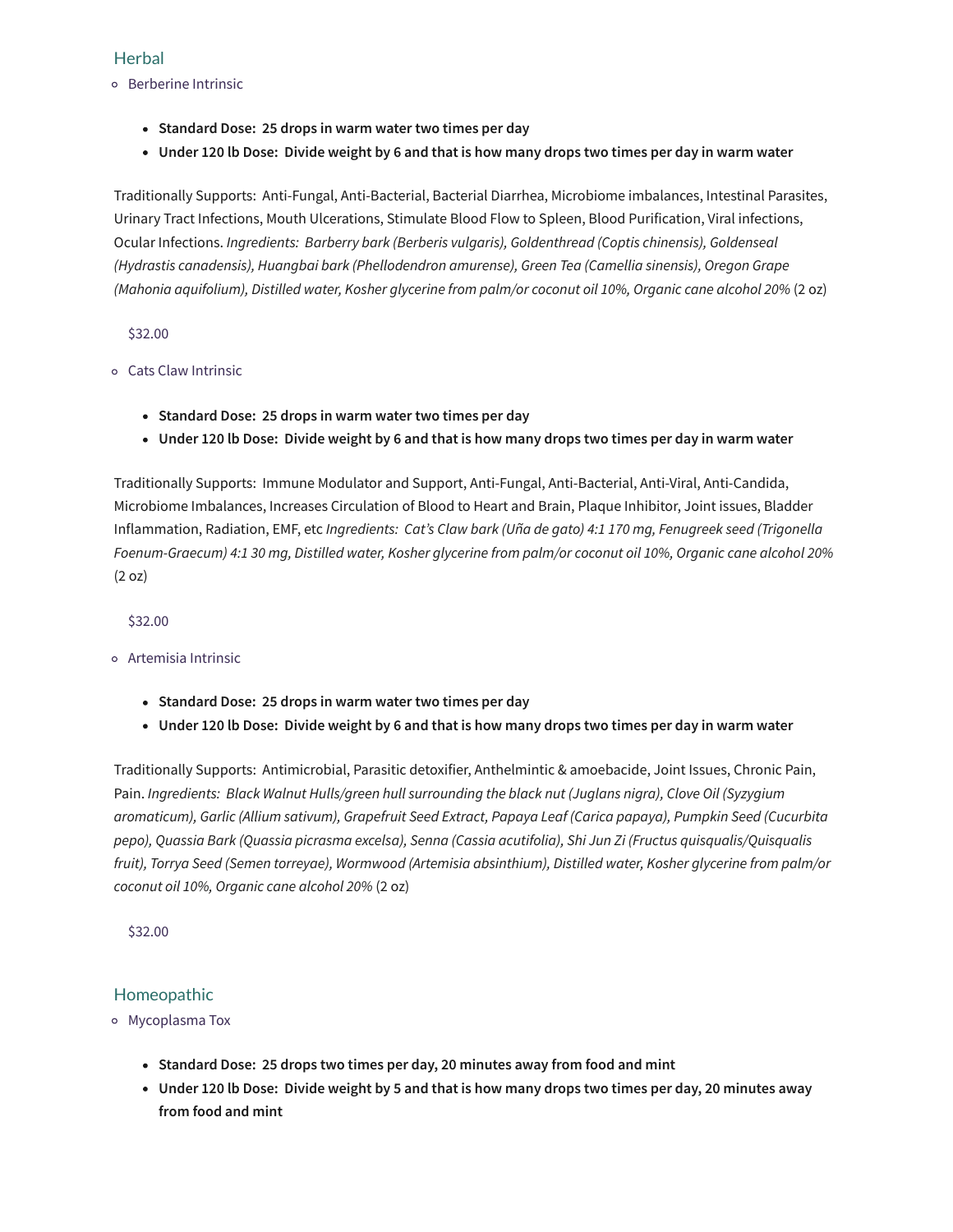# **Herbal**

- Berberine Intrinsic
	- **Standard Dose: 25 drops in warm water two times per day**
	- Under 120 lb Dose: Divide weight by 6 and that is how many drops two times per day in warm water

Traditionally Supports: Anti-Fungal, Anti-Bacterial, Bacterial Diarrhea, Microbiome imbalances, Intestinal Parasites, Urinary Tract Infections, Mouth Ulcerations, Stimulate Blood Flow to Spleen, Blood Purification, Viral infections, Ocular Infections. *Ingredients: Barberry bark (Berberis vulgaris), Goldenthread (Coptis chinensis), Goldenseal (Hydrastis canadensis), Huangbai bark (Phellodendron amurense), Green Tea (Camellia sinensis), Oregon Grape (Mahonia aquifolium), Distilled water, Kosher glycerine from palm/or coconut oil 10%, Organic cane alcohol 20%* (2 oz)

\$32.00

- Cats Claw Intrinsic
	- **Standard Dose: 25 drops in warm water two times per day**
	- Under 120 lb Dose: Divide weight by 6 and that is how many drops two times per day in warm water

Traditionally Supports: Immune Modulator and Support, Anti-Fungal, Anti-Bacterial, Anti-Viral, Anti-Candida, Microbiome Imbalances, Increases Circulation of Blood to Heart and Brain, Plaque Inhibitor, Joint issues, Bladder Inflammation, Radiation, EMF, etc *Ingredients: Cat's Claw bark (Uña de gato) 4:1 170 mg, Fenugreek seed (Trigonella* Foenum-Graecum) 4:1 30 mg, Distilled water, Kosher glycerine from palm/or coconut oil 10%, Organic cane alcohol 20% (2 oz)

\$32.00

Artemisia Intrinsic

- **Standard Dose: 25 drops in warm water two times per day**
- Under 120 lb Dose: Divide weight by 6 and that is how many drops two times per day in warm water

Traditionally Supports: Antimicrobial, Parasitic detoxifier, Anthelmintic & amoebacide, Joint Issues, Chronic Pain, Pain. *Ingredients: Black Walnut Hulls/green hull surrounding the black nut (Juglans nigra), Clove Oil (Syzygium aromaticum), Garlic (Allium sativum), Grapefruit Seed Extract, Papaya Leaf (Carica papaya), Pumpkin Seed (Cucurbita pepo), Quassia Bark (Quassia picrasma excelsa), Senna (Cassia acutifolia), Shi Jun Zi (Fructus quisqualis/Quisqualis fruit), Torrya Seed (Semen torreyae), Wormwood (Artemisia absinthium), Distilled water, Kosher glycerine from palm/or coconut oil 10%, Organic cane alcohol 20%* (2 oz)

\$32.00

# Homeopathic

- Mycoplasma Tox
	- **Standard Dose: 25 drops two times per day, 20 minutes away from food and mint**
	- Under 120 lb Dose: Divide weight by 5 and that is how many drops two times per day, 20 minutes away **from food and mint**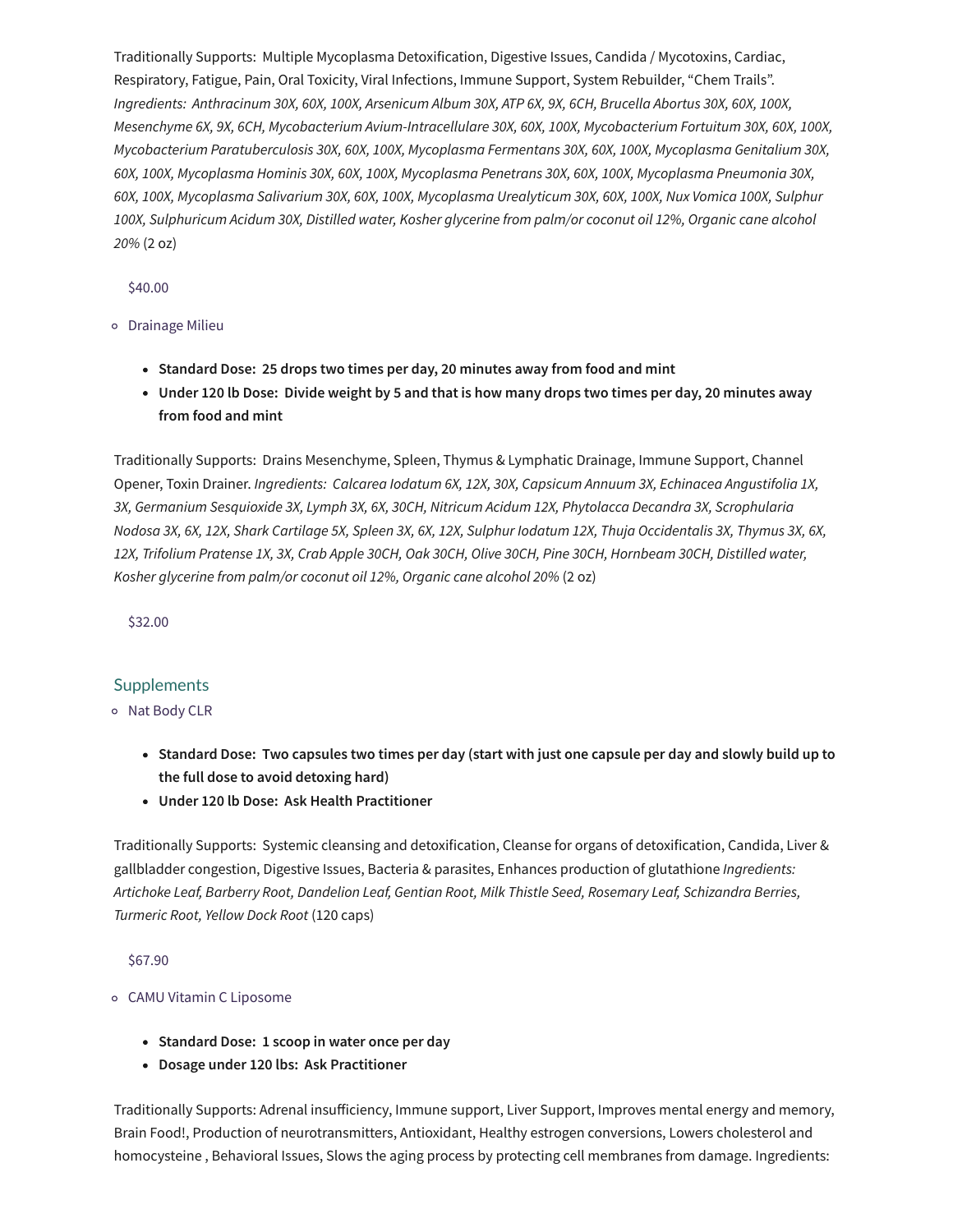Traditionally Supports: Multiple Mycoplasma Detoxification, Digestive Issues, Candida / Mycotoxins, Cardiac, Respiratory, Fatigue, Pain, Oral Toxicity, Viral Infections, Immune Support, System Rebuilder, "Chem Trails". Ingredients: Anthracinum 30X, 60X, 100X, Arsenicum Album 30X, ATP 6X, 9X, 6CH, Brucella Abortus 30X, 60X, 100X, *Mesenchyme 6X, 9X, 6CH, Mycobacterium Avium-Intracellulare 30X, 60X, 100X, Mycobacterium Fortuitum 30X, 60X, 100X, Mycobacterium Paratuberculosis 30X, 60X, 100X, Mycoplasma Fermentans 30X, 60X, 100X, Mycoplasma Genitalium 30X, 60X, 100X, Mycoplasma Hominis 30X, 60X, 100X, Mycoplasma Penetrans 30X, 60X, 100X, Mycoplasma Pneumonia 30X, 60X, 100X, Mycoplasma Salivarium 30X, 60X, 100X, Mycoplasma Urealyticum 30X, 60X, 100X, Nux Vomica 100X, Sulphur* 100X, Sulphuricum Acidum 30X, Distilled water, Kosher glycerine from palm/or coconut oil 12%, Organic cane alcohol *20%* (2 oz)

\$40.00

Drainage Milieu

- **Standard Dose: 25 drops two times per day, 20 minutes away from food and mint**
- Under 120 lb Dose: Divide weight by 5 and that is how many drops two times per day, 20 minutes away **from food and mint**

Traditionally Supports: Drains Mesenchyme, Spleen, Thymus & Lymphatic Drainage, Immune Support, Channel Opener, Toxin Drainer. *Ingredients: Calcarea Iodatum 6X, 12X, 30X, Capsicum Annuum 3X, Echinacea Angustifolia 1X, 3X, Germanium Sesquioxide 3X, Lymph 3X, 6X, 30CH, Nitricum Acidum 12X, Phytolacca Decandra 3X, Scrophularia* Nodosa 3X, 6X, 12X, Shark Cartilage 5X, Spleen 3X, 6X, 12X, Sulphur Iodatum 12X, Thuja Occidentalis 3X, Thymus 3X, 6X, 12X, Trifolium Pratense 1X, 3X, Crab Apple 30CH, Oak 30CH, Olive 30CH, Pine 30CH, Hornbeam 30CH, Distilled water, *Kosher glycerine from palm/or coconut oil 12%, Organic cane alcohol 20%* (2 oz)

\$32.00

# **Supplements**

o Nat Body CLR

- Standard Dose: Two capsules two times per day (start with just one capsule per day and slowly build up to **the full dose to avoid detoxing hard)**
- **Under 120 lb Dose: Ask Health Practitioner**

Traditionally Supports: Systemic cleansing and detoxification, Cleanse for organs of detoxification, Candida, Liver & gallbladder congestion, Digestive Issues, Bacteria & parasites, Enhances production of glutathione *Ingredients: Artichoke Leaf, Barberry Root, Dandelion Leaf, Gentian Root, Milk Thistle Seed, Rosemary Leaf, Schizandra Berries, Turmeric Root, Yellow Dock Root* (120 caps)

\$67.90

- CAMU Vitamin C Liposome
	- **Standard Dose: 1 scoop in water once per day**
	- **Dosage under 120 lbs: Ask Practitioner**

Traditionally Supports: Adrenal insufficiency, Immune support, Liver Support, Improves mental energy and memory, Brain Food!, Production of neurotransmitters, Antioxidant, Healthy estrogen conversions, Lowers cholesterol and homocysteine , Behavioral Issues, Slows the aging process by protecting cell membranes from damage. Ingredients: